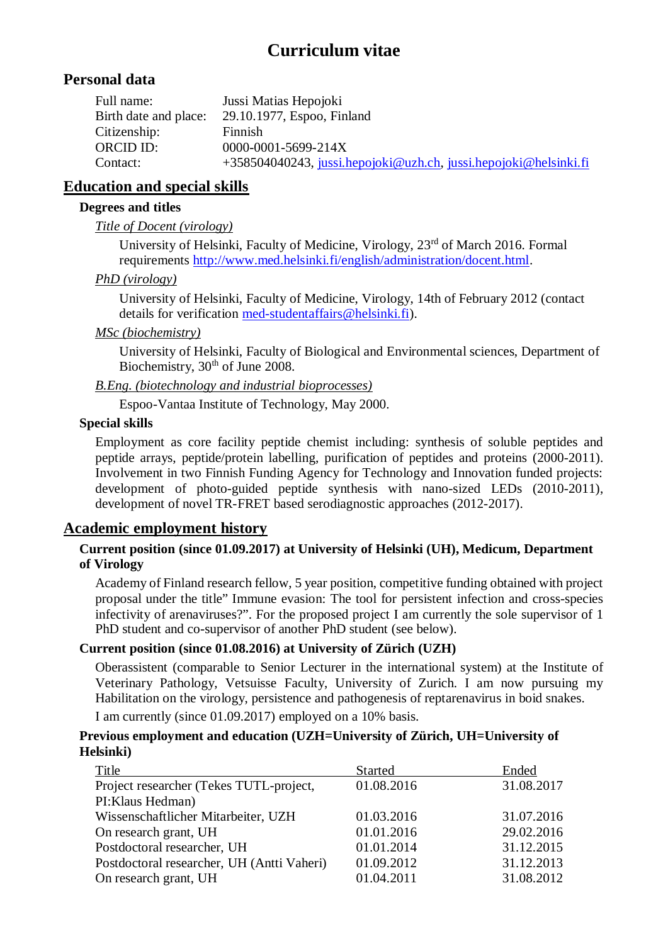# **Curriculum vitae**

## **Personal data**

| Jussi Matias Hepojoki                                            |
|------------------------------------------------------------------|
| 29.10.1977, Espoo, Finland                                       |
| Finnish                                                          |
| 0000-0001-5699-214X                                              |
| +358504040243, jussi.hepojoki@uzh.ch, jussi.hepojoki@helsinki.fi |
|                                                                  |

## **Education and special skills**

### **Degrees and titles**

### *Title of Docent (virology)*

University of Helsinki, Faculty of Medicine, Virology, 23rd of March 2016. Formal requirements http://www.med.helsinki.fi/english/administration/docent.html.

### *PhD (virology)*

University of Helsinki, Faculty of Medicine, Virology, 14th of February 2012 (contact details for verification med-studentaffairs@helsinki.fi).

## *MSc (biochemistry)*

University of Helsinki, Faculty of Biological and Environmental sciences, Department of Biochemistry, 30<sup>th</sup> of June 2008.

## *B.Eng. (biotechnology and industrial bioprocesses)*

Espoo-Vantaa Institute of Technology, May 2000.

### **Special skills**

Employment as core facility peptide chemist including: synthesis of soluble peptides and peptide arrays, peptide/protein labelling, purification of peptides and proteins (2000-2011). Involvement in two Finnish Funding Agency for Technology and Innovation funded projects: development of photo-guided peptide synthesis with nano-sized LEDs (2010-2011), development of novel TR-FRET based serodiagnostic approaches (2012-2017).

## **Academic employment history**

## **Current position (since 01.09.2017) at University of Helsinki (UH), Medicum, Department of Virology**

Academy of Finland research fellow, 5 year position, competitive funding obtained with project proposal under the title" Immune evasion: The tool for persistent infection and cross-species infectivity of arenaviruses?". For the proposed project I am currently the sole supervisor of 1 PhD student and co-supervisor of another PhD student (see below).

## **Current position (since 01.08.2016) at University of Zürich (UZH)**

Oberassistent (comparable to Senior Lecturer in the international system) at the Institute of Veterinary Pathology, Vetsuisse Faculty, University of Zurich. I am now pursuing my Habilitation on the virology, persistence and pathogenesis of reptarenavirus in boid snakes.

I am currently (since 01.09.2017) employed on a 10% basis.

#### **Previous employment and education (UZH=University of Zürich, UH=University of Helsinki)**

| Title                                      | <b>Started</b> | Ended      |
|--------------------------------------------|----------------|------------|
| Project researcher (Tekes TUTL-project,    | 01.08.2016     | 31.08.2017 |
| PI: Klaus Hedman)                          |                |            |
| Wissenschaftlicher Mitarbeiter, UZH        | 01.03.2016     | 31.07.2016 |
| On research grant, UH                      | 01.01.2016     | 29.02.2016 |
| Postdoctoral researcher, UH                | 01.01.2014     | 31.12.2015 |
| Postdoctoral researcher, UH (Antti Vaheri) | 01.09.2012     | 31.12.2013 |
| On research grant, UH                      | 01.04.2011     | 31.08.2012 |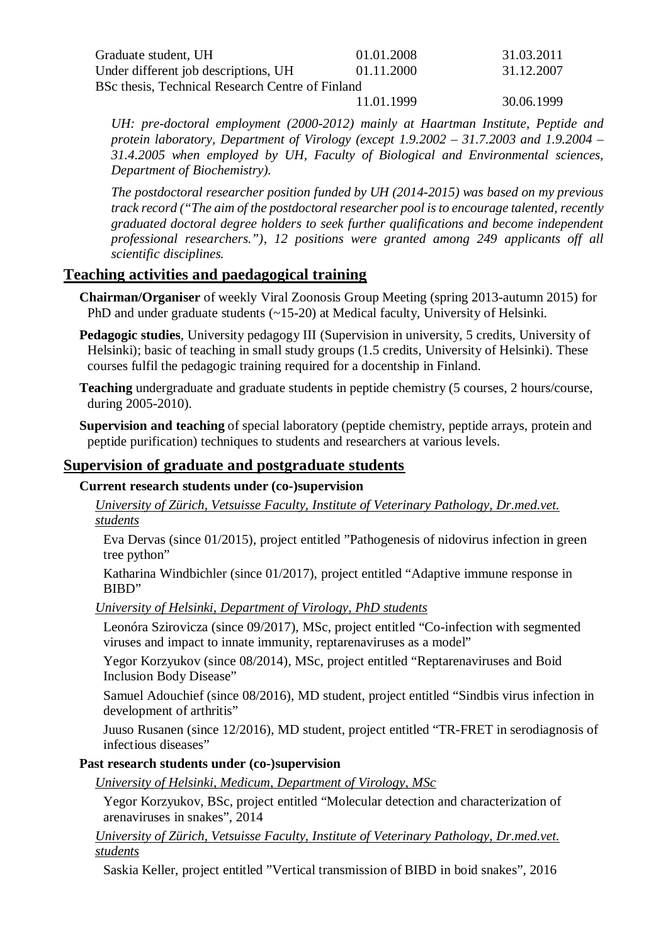| Graduate student, UH                             | 01.01.2008 | 31.03.2011 |
|--------------------------------------------------|------------|------------|
| Under different job descriptions, UH             | 01.11.2000 | 31.12.2007 |
| BSc thesis, Technical Research Centre of Finland |            |            |
|                                                  | 11.01.1999 | 30.06.1999 |

*UH: pre-doctoral employment (2000-2012) mainly at Haartman Institute, Peptide and protein laboratory, Department of Virology (except 1.9.2002 – 31.7.2003 and 1.9.2004 – 31.4.2005 when employed by UH, Faculty of Biological and Environmental sciences, Department of Biochemistry).*

*The postdoctoral researcher position funded by UH (2014-2015) was based on my previous track record ("The aim of the postdoctoral researcher pool is to encourage talented, recently graduated doctoral degree holders to seek further qualifications and become independent professional researchers."), 12 positions were granted among 249 applicants off all scientific disciplines.*

## **Teaching activities and paedagogical training**

**Chairman/Organiser** of weekly Viral Zoonosis Group Meeting (spring 2013-autumn 2015) for PhD and under graduate students (~15-20) at Medical faculty, University of Helsinki.

**Pedagogic studies**, University pedagogy III (Supervision in university, 5 credits, University of Helsinki); basic of teaching in small study groups (1.5 credits, University of Helsinki). These courses fulfil the pedagogic training required for a docentship in Finland.

**Teaching** undergraduate and graduate students in peptide chemistry (5 courses, 2 hours/course, during 2005-2010).

**Supervision and teaching** of special laboratory (peptide chemistry, peptide arrays, protein and peptide purification) techniques to students and researchers at various levels.

## **Supervision of graduate and postgraduate students**

#### **Current research students under (co-)supervision**

*University of Zürich, Vetsuisse Faculty, Institute of Veterinary Pathology, Dr.med.vet. students*

Eva Dervas (since 01/2015), project entitled "Pathogenesis of nidovirus infection in green tree python"

Katharina Windbichler (since 01/2017), project entitled "Adaptive immune response in BIBD"

#### *University of Helsinki, Department of Virology, PhD students*

Leonóra Szirovicza (since 09/2017), MSc, project entitled "Co-infection with segmented viruses and impact to innate immunity, reptarenaviruses as a model"

Yegor Korzyukov (since 08/2014), MSc, project entitled "Reptarenaviruses and Boid Inclusion Body Disease"

Samuel Adouchief (since 08/2016), MD student, project entitled "Sindbis virus infection in development of arthritis"

Juuso Rusanen (since 12/2016), MD student, project entitled "TR-FRET in serodiagnosis of infectious diseases"

#### **Past research students under (co-)supervision**

*University of Helsinki, Medicum, Department of Virology, MSc*

Yegor Korzyukov, BSc, project entitled "Molecular detection and characterization of arenaviruses in snakes", 2014

*University of Zürich, Vetsuisse Faculty, Institute of Veterinary Pathology, Dr.med.vet. students*

Saskia Keller, project entitled "Vertical transmission of BIBD in boid snakes", 2016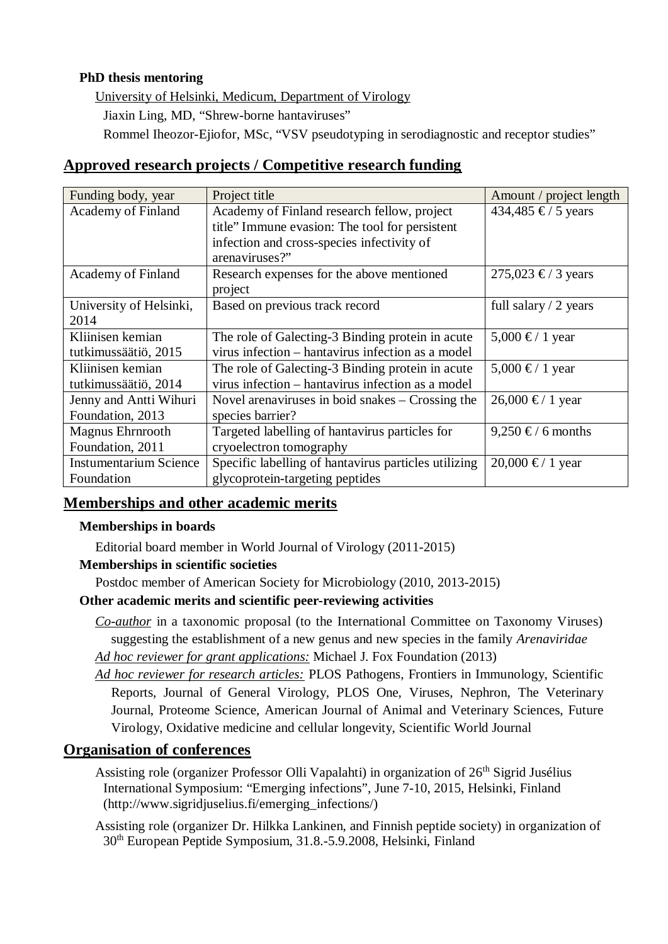## **PhD thesis mentoring**

University of Helsinki, Medicum, Department of Virology

Jiaxin Ling, MD, "Shrew-borne hantaviruses"

Rommel Iheozor-Ejiofor, MSc, "VSV pseudotyping in serodiagnostic and receptor studies"

## **Approved research projects / Competitive research funding**

| Funding body, year            | Project title                                        | Amount / project length |
|-------------------------------|------------------------------------------------------|-------------------------|
| <b>Academy of Finland</b>     | Academy of Finland research fellow, project          | 434,485 €/ 5 years      |
|                               | title" Immune evasion: The tool for persistent       |                         |
|                               | infection and cross-species infectivity of           |                         |
|                               | arenaviruses?"                                       |                         |
| Academy of Finland            | Research expenses for the above mentioned            | 275,023 €/ 3 years      |
|                               | project                                              |                         |
| University of Helsinki,       | Based on previous track record                       | full salary $/2$ years  |
| 2014                          |                                                      |                         |
| Kliinisen kemian              | The role of Galecting-3 Binding protein in acute     | 5,000 €/ 1 year         |
| tutkimussäätiö, 2015          | virus infection – hantavirus infection as a model    |                         |
| Kliinisen kemian              | The role of Galecting-3 Binding protein in acute     | 5,000 €/ 1 year         |
| tutkimussäätiö, 2014          | virus infection – hantavirus infection as a model    |                         |
| Jenny and Antti Wihuri        | Novel are naviruses in boid snakes $-$ Crossing the  | 26,000 €/ 1 year        |
| Foundation, 2013              | species barrier?                                     |                         |
| Magnus Ehrnrooth              | Targeted labelling of hantavirus particles for       | 9,250 €/ 6 months       |
| Foundation, 2011              | cryoelectron tomography                              |                         |
| <b>Instumentarium Science</b> | Specific labelling of hantavirus particles utilizing | 20,000 €/ 1 year        |
| Foundation                    | glycoprotein-targeting peptides                      |                         |

## **Memberships and other academic merits**

## **Memberships in boards**

Editorial board member in World Journal of Virology (2011-2015)

## **Memberships in scientific societies**

Postdoc member of American Society for Microbiology (2010, 2013-2015)

## **Other academic merits and scientific peer-reviewing activities**

*Co-author* in a taxonomic proposal (to the International Committee on Taxonomy Viruses) suggesting the establishment of a new genus and new species in the family *Arenaviridae*

*Ad hoc reviewer for grant applications:* Michael J. Fox Foundation (2013)

*Ad hoc reviewer for research articles:* PLOS Pathogens, Frontiers in Immunology, Scientific Reports, Journal of General Virology, PLOS One, Viruses, Nephron, The Veterinary Journal, Proteome Science, American Journal of Animal and Veterinary Sciences, Future Virology, Oxidative medicine and cellular longevity, Scientific World Journal

## **Organisation of conferences**

Assisting role (organizer Professor Olli Vapalahti) in organization of 26<sup>th</sup> Sigrid Jusélius International Symposium: "Emerging infections", June 7-10, 2015, Helsinki, Finland (http://www.sigridiuselius.fi/emerging\_infections/)

Assisting role (organizer Dr. Hilkka Lankinen, and Finnish peptide society) in organization of 30th European Peptide Symposium, 31.8.-5.9.2008, Helsinki, Finland